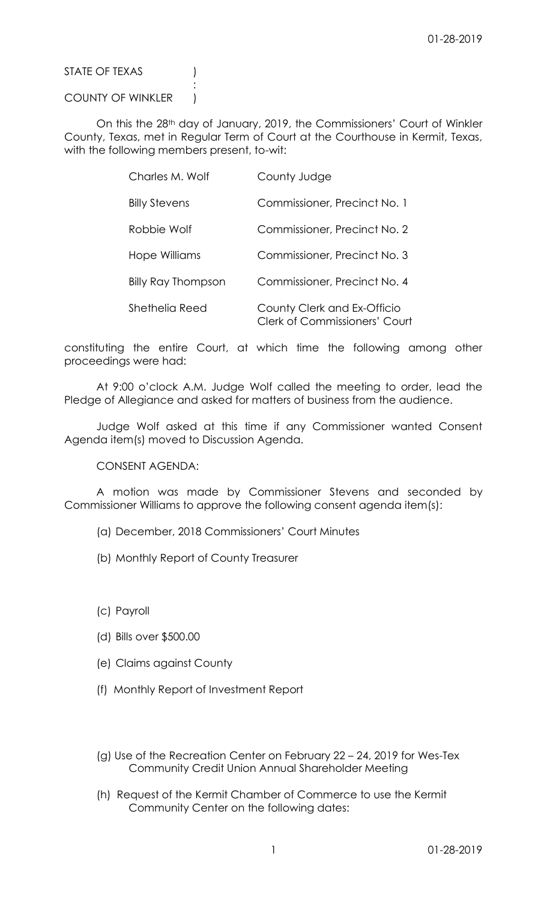STATE OF TEXAS (1)

## COUNTY OF WINKLER )

:

On this the 28th day of January, 2019, the Commissioners' Court of Winkler County, Texas, met in Regular Term of Court at the Courthouse in Kermit, Texas, with the following members present, to-wit:

| Charles M. Wolf           | County Judge                                                        |
|---------------------------|---------------------------------------------------------------------|
| <b>Billy Stevens</b>      | Commissioner, Precinct No. 1                                        |
| Robbie Wolf               | Commissioner, Precinct No. 2                                        |
| Hope Williams             | Commissioner, Precinct No. 3                                        |
| <b>Billy Ray Thompson</b> | Commissioner, Precinct No. 4                                        |
| Shethelia Reed            | County Clerk and Ex-Officio<br><b>Clerk of Commissioners' Court</b> |

constituting the entire Court, at which time the following among other proceedings were had:

At 9:00 o'clock A.M. Judge Wolf called the meeting to order, lead the Pledge of Allegiance and asked for matters of business from the audience.

Judge Wolf asked at this time if any Commissioner wanted Consent Agenda item(s) moved to Discussion Agenda.

CONSENT AGENDA:

A motion was made by Commissioner Stevens and seconded by Commissioner Williams to approve the following consent agenda item(s):

- (a) December, 2018 Commissioners' Court Minutes
- (b) Monthly Report of County Treasurer
- (c) Payroll
- (d) Bills over \$500.00
- (e) Claims against County
- (f) Monthly Report of Investment Report
- (g) Use of the Recreation Center on February 22 24, 2019 for Wes-Tex Community Credit Union Annual Shareholder Meeting
- (h) Request of the Kermit Chamber of Commerce to use the Kermit Community Center on the following dates: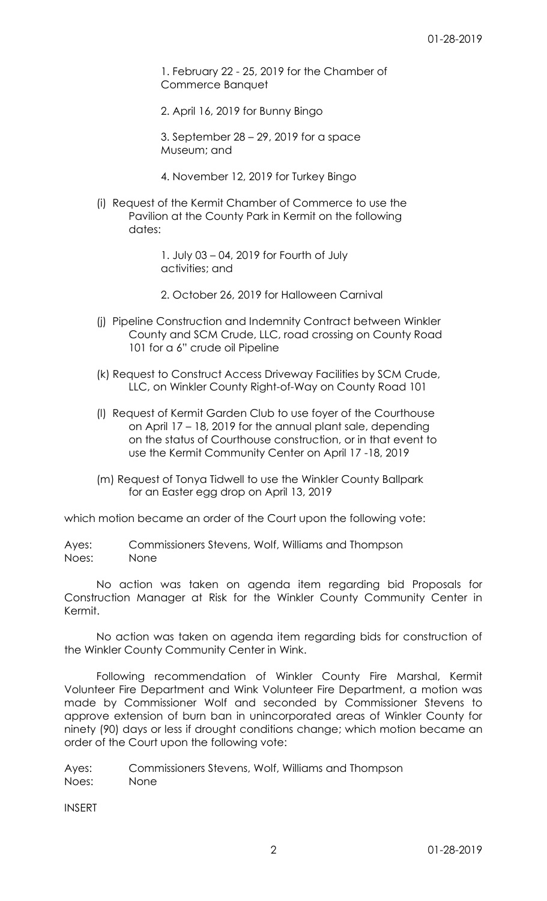1. February 22 - 25, 2019 for the Chamber of Commerce Banquet

2. April 16, 2019 for Bunny Bingo

3. September 28 – 29, 2019 for a space Museum; and

- 4. November 12, 2019 for Turkey Bingo
- (i) Request of the Kermit Chamber of Commerce to use the Pavilion at the County Park in Kermit on the following dates:

1. July 03 – 04, 2019 for Fourth of July activities; and

2. October 26, 2019 for Halloween Carnival

- (j) Pipeline Construction and Indemnity Contract between Winkler County and SCM Crude, LLC, road crossing on County Road 101 for a 6" crude oil Pipeline
- (k) Request to Construct Access Driveway Facilities by SCM Crude, LLC, on Winkler County Right-of-Way on County Road 101
- (l) Request of Kermit Garden Club to use foyer of the Courthouse on April 17 – 18, 2019 for the annual plant sale, depending on the status of Courthouse construction, or in that event to use the Kermit Community Center on April 17 -18, 2019
- (m) Request of Tonya Tidwell to use the Winkler County Ballpark for an Easter egg drop on April 13, 2019

which motion became an order of the Court upon the following vote:

Ayes: Commissioners Stevens, Wolf, Williams and Thompson Noes: None

No action was taken on agenda item regarding bid Proposals for Construction Manager at Risk for the Winkler County Community Center in Kermit.

No action was taken on agenda item regarding bids for construction of the Winkler County Community Center in Wink.

Following recommendation of Winkler County Fire Marshal, Kermit Volunteer Fire Department and Wink Volunteer Fire Department, a motion was made by Commissioner Wolf and seconded by Commissioner Stevens to approve extension of burn ban in unincorporated areas of Winkler County for ninety (90) days or less if drought conditions change; which motion became an order of the Court upon the following vote:

Ayes: Commissioners Stevens, Wolf, Williams and Thompson Noes: None

INSERT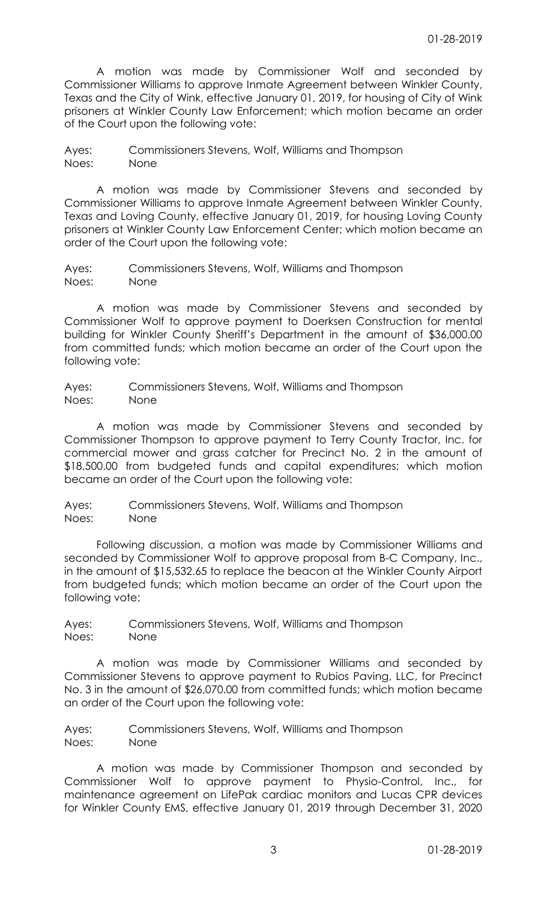A motion was made by Commissioner Wolf and seconded by Commissioner Williams to approve Inmate Agreement between Winkler County, Texas and the City of Wink, effective January 01, 2019, for housing of City of Wink prisoners at Winkler County Law Enforcement; which motion became an order of the Court upon the following vote:

Ayes: Commissioners Stevens, Wolf, Williams and Thompson Noes: None

A motion was made by Commissioner Stevens and seconded by Commissioner Williams to approve Inmate Agreement between Winkler County, Texas and Loving County, effective January 01, 2019, for housing Loving County prisoners at Winkler County Law Enforcement Center; which motion became an order of the Court upon the following vote:

Ayes: Commissioners Stevens, Wolf, Williams and Thompson Noes: None

A motion was made by Commissioner Stevens and seconded by Commissioner Wolf to approve payment to Doerksen Construction for mental building for Winkler County Sheriff's Department in the amount of \$36,000.00 from committed funds; which motion became an order of the Court upon the following vote:

Ayes: Commissioners Stevens, Wolf, Williams and Thompson Noes: None

A motion was made by Commissioner Stevens and seconded by Commissioner Thompson to approve payment to Terry County Tractor, Inc. for commercial mower and grass catcher for Precinct No. 2 in the amount of \$18,500.00 from budgeted funds and capital expenditures; which motion became an order of the Court upon the following vote:

Ayes: Commissioners Stevens, Wolf, Williams and Thompson Noes: None

Following discussion, a motion was made by Commissioner Williams and seconded by Commissioner Wolf to approve proposal from B-C Company, Inc., in the amount of \$15,532.65 to replace the beacon at the Winkler County Airport from budgeted funds; which motion became an order of the Court upon the following vote:

Ayes: Commissioners Stevens, Wolf, Williams and Thompson Noes: None

A motion was made by Commissioner Williams and seconded by Commissioner Stevens to approve payment to Rubios Paving, LLC, for Precinct No. 3 in the amount of \$26,070.00 from committed funds; which motion became an order of the Court upon the following vote:

Ayes: Commissioners Stevens, Wolf, Williams and Thompson Noes: None

A motion was made by Commissioner Thompson and seconded by Commissioner Wolf to approve payment to Physio-Control, Inc., for maintenance agreement on LifePak cardiac monitors and Lucas CPR devices for Winkler County EMS, effective January 01, 2019 through December 31, 2020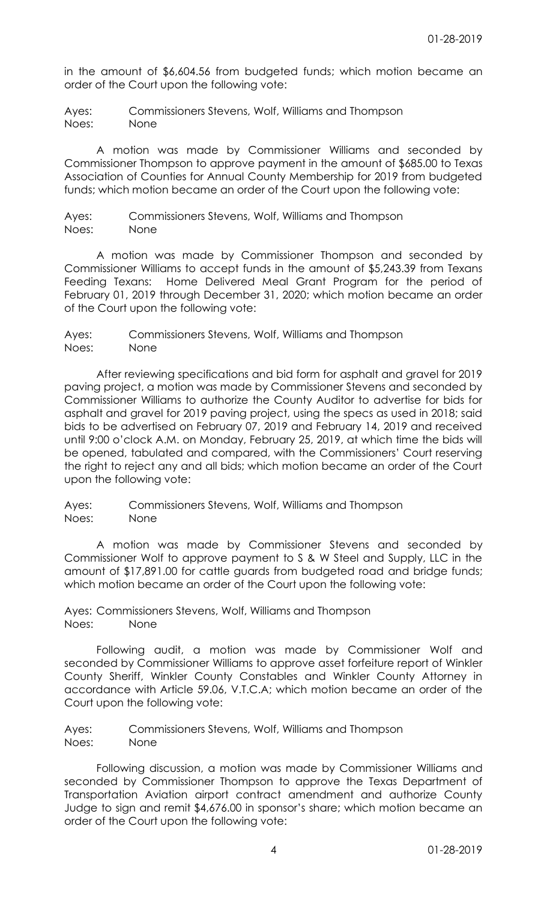in the amount of \$6,604.56 from budgeted funds; which motion became an order of the Court upon the following vote:

Ayes: Commissioners Stevens, Wolf, Williams and Thompson Noes: None

A motion was made by Commissioner Williams and seconded by Commissioner Thompson to approve payment in the amount of \$685.00 to Texas Association of Counties for Annual County Membership for 2019 from budgeted funds; which motion became an order of the Court upon the following vote:

Ayes: Commissioners Stevens, Wolf, Williams and Thompson Noes: None

A motion was made by Commissioner Thompson and seconded by Commissioner Williams to accept funds in the amount of \$5,243.39 from Texans Feeding Texans: Home Delivered Meal Grant Program for the period of February 01, 2019 through December 31, 2020; which motion became an order of the Court upon the following vote:

Ayes: Commissioners Stevens, Wolf, Williams and Thompson Noes: None

After reviewing specifications and bid form for asphalt and gravel for 2019 paving project, a motion was made by Commissioner Stevens and seconded by Commissioner Williams to authorize the County Auditor to advertise for bids for asphalt and gravel for 2019 paving project, using the specs as used in 2018; said bids to be advertised on February 07, 2019 and February 14, 2019 and received until 9:00 o'clock A.M. on Monday, February 25, 2019, at which time the bids will be opened, tabulated and compared, with the Commissioners' Court reserving the right to reject any and all bids; which motion became an order of the Court upon the following vote:

Ayes: Commissioners Stevens, Wolf, Williams and Thompson Noes: None

A motion was made by Commissioner Stevens and seconded by Commissioner Wolf to approve payment to S & W Steel and Supply, LLC in the amount of \$17,891.00 for cattle guards from budgeted road and bridge funds; which motion became an order of the Court upon the following vote:

Ayes: Commissioners Stevens, Wolf, Williams and Thompson Noes: None

Following audit, a motion was made by Commissioner Wolf and seconded by Commissioner Williams to approve asset forfeiture report of Winkler County Sheriff, Winkler County Constables and Winkler County Attorney in accordance with Article 59.06, V.T.C.A; which motion became an order of the Court upon the following vote:

Ayes: Commissioners Stevens, Wolf, Williams and Thompson Noes: None

Following discussion, a motion was made by Commissioner Williams and seconded by Commissioner Thompson to approve the Texas Department of Transportation Aviation airport contract amendment and authorize County Judge to sign and remit \$4,676.00 in sponsor's share; which motion became an order of the Court upon the following vote: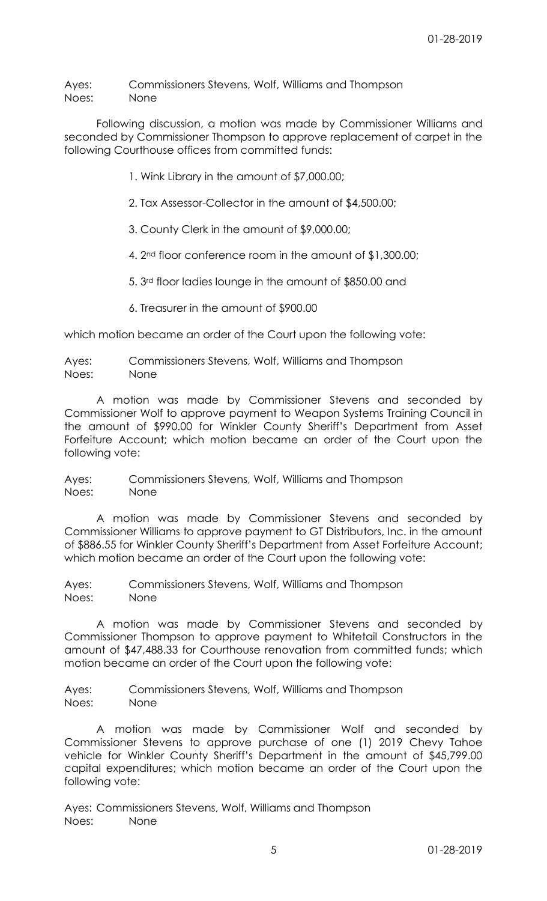Ayes: Commissioners Stevens, Wolf, Williams and Thompson Noes: None

Following discussion, a motion was made by Commissioner Williams and seconded by Commissioner Thompson to approve replacement of carpet in the following Courthouse offices from committed funds:

1. Wink Library in the amount of \$7,000.00;

2. Tax Assessor-Collector in the amount of \$4,500.00;

3. County Clerk in the amount of \$9,000.00;

4. 2nd floor conference room in the amount of \$1,300.00;

5. 3rd floor ladies lounge in the amount of \$850.00 and

6. Treasurer in the amount of \$900.00

which motion became an order of the Court upon the following vote:

Ayes: Commissioners Stevens, Wolf, Williams and Thompson Noes: None

A motion was made by Commissioner Stevens and seconded by Commissioner Wolf to approve payment to Weapon Systems Training Council in the amount of \$990.00 for Winkler County Sheriff's Department from Asset Forfeiture Account; which motion became an order of the Court upon the following vote:

Ayes: Commissioners Stevens, Wolf, Williams and Thompson Noes: None

A motion was made by Commissioner Stevens and seconded by Commissioner Williams to approve payment to GT Distributors, Inc. in the amount of \$886.55 for Winkler County Sheriff's Department from Asset Forfeiture Account; which motion became an order of the Court upon the following vote:

Ayes: Commissioners Stevens, Wolf, Williams and Thompson Noes: None

A motion was made by Commissioner Stevens and seconded by Commissioner Thompson to approve payment to Whitetail Constructors in the amount of \$47,488.33 for Courthouse renovation from committed funds; which motion became an order of the Court upon the following vote:

Ayes: Commissioners Stevens, Wolf, Williams and Thompson Noes: None

A motion was made by Commissioner Wolf and seconded by Commissioner Stevens to approve purchase of one (1) 2019 Chevy Tahoe vehicle for Winkler County Sheriff's Department in the amount of \$45,799.00 capital expenditures; which motion became an order of the Court upon the following vote:

Ayes: Commissioners Stevens, Wolf, Williams and Thompson Noes: None